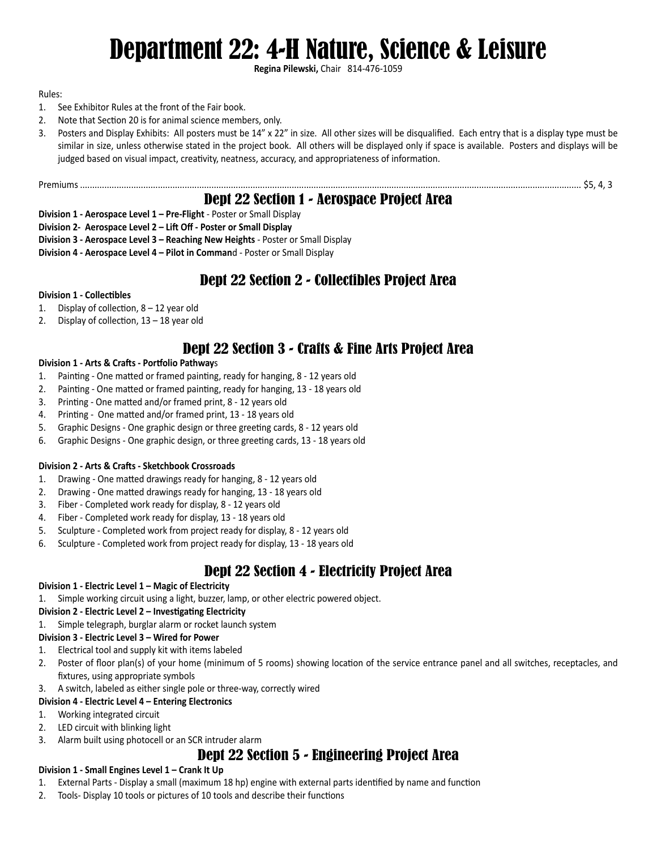# Department 22: 4-H Nature, Science & Leisure

**Regina Pilewski,** Chair 814-476-1059

#### Rules:

- 1. See Exhibitor Rules at the front of the Fair book.
- 2. Note that Section 20 is for animal science members, only.
- 3. Posters and Display Exhibits: All posters must be 14" x 22" in size. All other sizes will be disqualified. Each entry that is a display type must be similar in size, unless otherwise stated in the project book. All others will be displayed only if space is available. Posters and displays will be judged based on visual impact, creativity, neatness, accuracy, and appropriateness of information.

Premiums .............................................................................................................................................................................................................. \$5, 4, 3

### Dept 22 Section 1 - Aerospace Project Area

**Division 1 - Aerospace Level 1 – Pre-Flight** - Poster or Small Display

**Division 2- Aerospace Level 2 – Lift Off - Poster or Small Display**

- **Division 3 Aerospace Level 3 Reaching New Heights** Poster or Small Display
- **Division 4 Aerospace Level 4 Pilot in Comman**d Poster or Small Display

# Dept 22 Section 2 - Collectibles Project Area

#### **Division 1 - Collectibles**

- 1. Display of collection, 8 12 year old
- 2. Display of collection, 13 18 year old

# Dept 22 Section 3 - Crafts & Fine Arts Project Area

#### **Division 1 - Arts & Crafts - Portfolio Pathway**s

- 1. Painting One matted or framed painting, ready for hanging, 8 12 years old
- 2. Painting One matted or framed painting, ready for hanging, 13 18 years old
- 3. Printing One matted and/or framed print, 8 12 years old
- 4. Printing One matted and/or framed print, 13 18 years old
- 5. Graphic Designs One graphic design or three greeting cards, 8 12 years old
- 6. Graphic Designs One graphic design, or three greeting cards, 13 18 years old

#### **Division 2 - Arts & Crafts - Sketchbook Crossroads**

- 1. Drawing One matted drawings ready for hanging, 8 12 years old
- 2. Drawing One matted drawings ready for hanging, 13 18 years old
- 3. Fiber Completed work ready for display, 8 12 years old
- 4. Fiber Completed work ready for display, 13 18 years old
- 5. Sculpture Completed work from project ready for display, 8 12 years old
- 6. Sculpture Completed work from project ready for display, 13 18 years old

# Dept 22 Section 4 - Electricity Project Area

#### **Division 1 - Electric Level 1 – Magic of Electricity**

1. Simple working circuit using a light, buzzer, lamp, or other electric powered object.

#### **Division 2 - Electric Level 2 – Investigating Electricity**

1. Simple telegraph, burglar alarm or rocket launch system

#### **Division 3 - Electric Level 3 – Wired for Power**

- 1. Electrical tool and supply kit with items labeled
- 2. Poster of floor plan(s) of your home (minimum of 5 rooms) showing location of the service entrance panel and all switches, receptacles, and fixtures, using appropriate symbols
- 3. A switch, labeled as either single pole or three-way, correctly wired

#### **Division 4 - Electric Level 4 – Entering Electronics**

- 1. Working integrated circuit
- 2. LED circuit with blinking light
- 3. Alarm built using photocell or an SCR intruder alarm

# Dept 22 Section 5 - Engineering Project Area

#### **Division 1 - Small Engines Level 1 – Crank It Up**

- 1. External Parts Display a small (maximum 18 hp) engine with external parts identified by name and function
- 2. Tools- Display 10 tools or pictures of 10 tools and describe their functions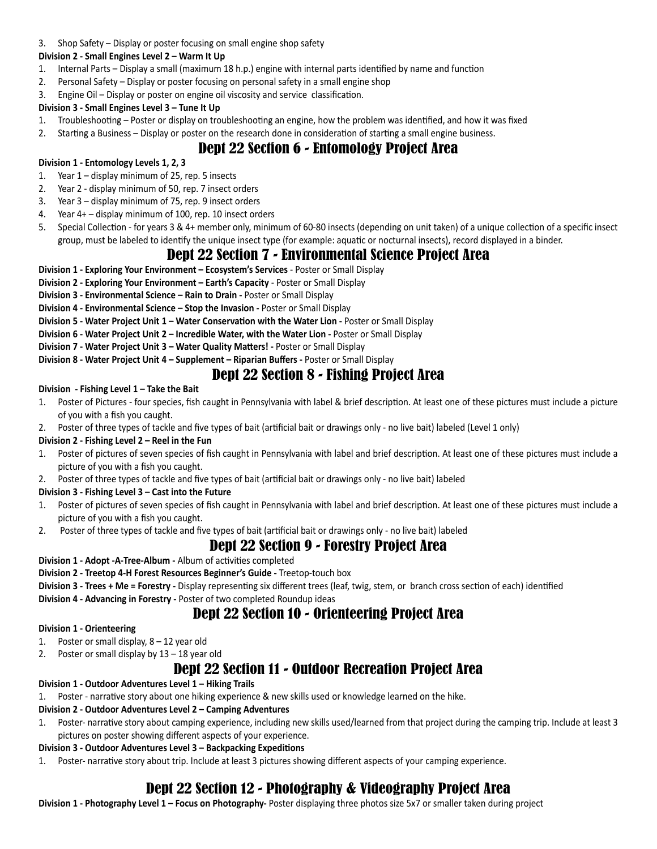3. Shop Safety – Display or poster focusing on small engine shop safety

#### **Division 2 - Small Engines Level 2 – Warm It Up**

- 1. Internal Parts Display a small (maximum 18 h.p.) engine with internal parts identified by name and function
- 2. Personal Safety Display or poster focusing on personal safety in a small engine shop
- 3. Engine Oil Display or poster on engine oil viscosity and service classification.

#### **Division 3 - Small Engines Level 3 – Tune It Up**

- 1. Troubleshooting Poster or display on troubleshooting an engine, how the problem was identified, and how it was fixed
- 2. Starting a Business Display or poster on the research done in consideration of starting a small engine business.

# Dept 22 Section 6 - Entomology Project Area

#### **Division 1 - Entomology Levels 1, 2, 3**

- 1. Year 1 display minimum of 25, rep. 5 insects
- 2. Year 2 display minimum of 50, rep. 7 insect orders
- 3. Year 3 display minimum of 75, rep. 9 insect orders
- 4. Year 4+ display minimum of 100, rep. 10 insect orders
- 5. Special Collection for years 3 & 4+ member only, minimum of 60-80 insects (depending on unit taken) of a unique collection of a specific insect group, must be labeled to identify the unique insect type (for example: aquatic or nocturnal insects), record displayed in a binder.

# Dept 22 Section 7 - Environmental Science Project Area

- **Division 1 Exploring Your Environment Ecosystem's Services** Poster or Small Display
- **Division 2 Exploring Your Environment Earth's Capacity** Poster or Small Display
- **Division 3 Environmental Science Rain to Drain Poster or Small Display**

#### **Division 4 - Environmental Science - Stop the Invasion - Poster or Small Display**

- **Division 5 Water Project Unit 1 Water Conservation with the Water Lion Poster or Small Display**
- **Division 6 Water Project Unit 2 Incredible Water, with the Water Lion** Poster or Small Display
- **Division 7 Water Project Unit 3 Water Quality Matters!** Poster or Small Display

#### **Division 8 - Water Project Unit 4 – Supplement – Riparian Buffers -** Poster or Small Display

### Dept 22 Section 8 - Fishing Project Area

#### **Division - Fishing Level 1 – Take the Bait**

- 1. Poster of Pictures four species, fish caught in Pennsylvania with label & brief description. At least one of these pictures must include a picture of you with a fish you caught.
- 2. Poster of three types of tackle and five types of bait (artificial bait or drawings only no live bait) labeled (Level 1 only)

#### **Division 2 - Fishing Level 2 – Reel in the Fun**

- 1. Poster of pictures of seven species of fish caught in Pennsylvania with label and brief description. At least one of these pictures must include a picture of you with a fish you caught.
- 2. Poster of three types of tackle and five types of bait (artificial bait or drawings only no live bait) labeled

#### **Division 3 - Fishing Level 3 – Cast into the Future**

- 1. Poster of pictures of seven species of fish caught in Pennsylvania with label and brief description. At least one of these pictures must include a picture of you with a fish you caught.
- 2. Poster of three types of tackle and five types of bait (artificial bait or drawings only no live bait) labeled

### Dept 22 Section 9 - Forestry Project Area

**Division 1 - Adopt -A-Tree-Album -** Album of activities completed

#### **Division 2 - Treetop 4-H Forest Resources Beginner's Guide -** Treetop-touch box

**Division 3 - Trees + Me = Forestry -** Display representing six different trees (leaf, twig, stem, or branch cross section of each) identified

**Division 4 - Advancing in Forestry -** Poster of two completed Roundup ideas

# Dept 22 Section 10 - Orienteering Project Area

#### **Division 1 - Orienteering**

- 1. Poster or small display, 8 12 year old
- 2. Poster or small display by 13 18 year old

# Dept 22 Section 11 - Outdoor Recreation Project Area

**Division 1 - Outdoor Adventures Level 1 – Hiking Trails**

1. Poster - narrative story about one hiking experience & new skills used or knowledge learned on the hike.

#### **Division 2 - Outdoor Adventures Level 2 – Camping Adventures**

1. Poster- narrative story about camping experience, including new skills used/learned from that project during the camping trip. Include at least 3 pictures on poster showing different aspects of your experience.

#### **Division 3 - Outdoor Adventures Level 3 – Backpacking Expeditions**

1. Poster- narrative story about trip. Include at least 3 pictures showing different aspects of your camping experience.

# Dept 22 Section 12 - Photography & Videography Project Area

**Division 1 - Photography Level 1 – Focus on Photography-** Poster displaying three photos size 5x7 or smaller taken during project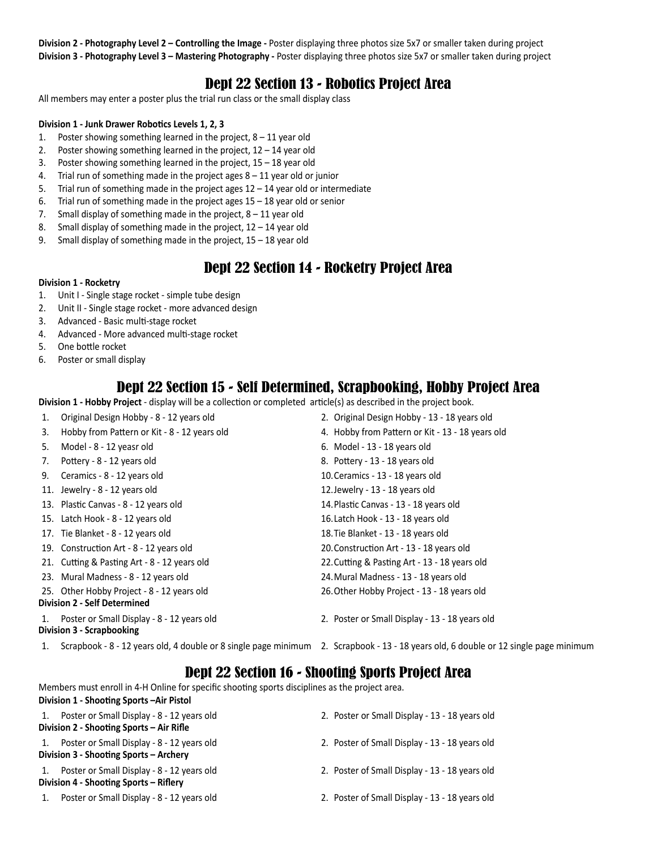**Division 2 - Photography Level 2 – Controlling the Image -** Poster displaying three photos size 5x7 or smaller taken during project **Division 3 - Photography Level 3 – Mastering Photography -** Poster displaying three photos size 5x7 or smaller taken during project

### Dept 22 Section 13 - Robotics Project Area

All members may enter a poster plus the trial run class or the small display class

#### **Division 1 - Junk Drawer Robotics Levels 1, 2, 3**

- 1. Poster showing something learned in the project,  $8 11$  year old
- 2. Poster showing something learned in the project,  $12 14$  year old
- 3. Poster showing something learned in the project, 15 18 year old
- 4. Trial run of something made in the project ages 8 11 year old or junior
- 5. Trial run of something made in the project ages 12 14 year old or intermediate
- 6. Trial run of something made in the project ages 15 18 year old or senior
- 7. Small display of something made in the project,  $8 11$  year old
- 8. Small display of something made in the project, 12 14 year old
- 9. Small display of something made in the project, 15 18 year old

### Dept 22 Section 14 - Rocketry Project Area

#### **Division 1 - Rocketry**

- 1. Unit I Single stage rocket simple tube design
- 2. Unit II Single stage rocket more advanced design
- 3. Advanced Basic multi-stage rocket
- 4. Advanced More advanced multi-stage rocket
- 5. One bottle rocket
- 6. Poster or small display

### Dept 22 Section 15 - Self Determined, Scrapbooking, Hobby Project Area

**Division 1 - Hobby Project** - display will be a collection or completed article(s) as described in the project book.

| 1.                                  | Original Design Hobby - 8 - 12 years old                                | 2. Original Design Hobby - 13 - 18 years old     |
|-------------------------------------|-------------------------------------------------------------------------|--------------------------------------------------|
| 3.                                  | Hobby from Pattern or Kit - 8 - 12 years old                            | 4. Hobby from Pattern or Kit - 13 - 18 years old |
| 5.                                  | Model - 8 - 12 yeasr old                                                | 6. Model - 13 - 18 years old                     |
| 7.                                  | Pottery - 8 - 12 years old                                              | 8. Pottery - 13 - 18 years old                   |
| 9.                                  | Ceramics - 8 - 12 years old                                             | 10. Ceramics - 13 - 18 years old                 |
|                                     | 11. Jewelry - 8 - 12 years old                                          | 12. Jewelry - 13 - 18 years old                  |
|                                     | 13. Plastic Canvas - 8 - 12 years old                                   | 14. Plastic Canvas - 13 - 18 years old           |
|                                     | 15. Latch Hook - 8 - 12 years old                                       | 16. Latch Hook - 13 - 18 years old               |
|                                     | 17. Tie Blanket - 8 - 12 years old                                      | 18. Tie Blanket - 13 - 18 years old              |
|                                     | 19. Construction Art - 8 - 12 years old                                 | 20. Construction Art - 13 - 18 years old         |
|                                     | 21. Cutting & Pasting Art - 8 - 12 years old                            | 22. Cutting & Pasting Art - 13 - 18 years old    |
|                                     | 23. Mural Madness - 8 - 12 years old                                    | 24. Mural Madness - 13 - 18 years old            |
|                                     | 25. Other Hobby Project - 8 - 12 years old                              | 26. Other Hobby Project - 13 - 18 years old      |
| <b>Division 2 - Self Determined</b> |                                                                         |                                                  |
|                                     | Poster or Small Display - 8 - 12 years old<br>Division 3 - Scrapbooking | 2. Poster or Small Display - 13 - 18 years old   |
|                                     |                                                                         |                                                  |

1. Scrapbook - 8 - 12 years old, 4 double or 8 single page minimum 2. Scrapbook - 13 - 18 years old, 6 double or 12 single page minimum

### Dept 22 Section 16 - Shooting Sports Project Area

Members must enroll in 4-H Online for specific shooting sports disciplines as the project area.

| Division 1 - Shooting Sports - Air Pistol                                               |                                                |
|-----------------------------------------------------------------------------------------|------------------------------------------------|
| Poster or Small Display - 8 - 12 years old<br>Division 2 - Shooting Sports - Air Rifle  | 2. Poster or Small Display - 13 - 18 years old |
| Poster or Small Display - 8 - 12 years old<br>Division 3 - Shooting Sports - Archery    | 2. Poster of Small Display - 13 - 18 years old |
| 1. Poster or Small Display - 8 - 12 years old<br>Division 4 - Shooting Sports – Riflery | 2. Poster of Small Display - 13 - 18 years old |
| Poster or Small Display - 8 - 12 years old                                              | 2. Poster of Small Display - 13 - 18 years old |